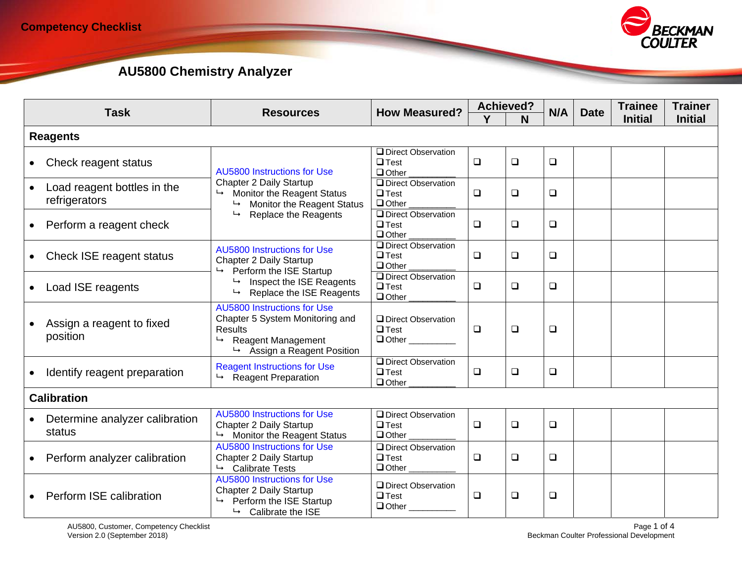

|           |                                              |                                                                                                                                                                      | <b>How Measured?</b>                                                             | <b>Achieved?</b> |        | N/A    |             | <b>Trainee</b> | <b>Trainer</b> |  |
|-----------|----------------------------------------------|----------------------------------------------------------------------------------------------------------------------------------------------------------------------|----------------------------------------------------------------------------------|------------------|--------|--------|-------------|----------------|----------------|--|
|           | <b>Task</b>                                  | <b>Resources</b>                                                                                                                                                     |                                                                                  | Y                |        |        | <b>Date</b> | <b>Initial</b> | <b>Initial</b> |  |
|           | <b>Reagents</b>                              |                                                                                                                                                                      |                                                                                  |                  |        |        |             |                |                |  |
|           | Check reagent status                         | <b>AU5800 Instructions for Use</b><br><b>Chapter 2 Daily Startup</b><br>Monitor the Reagent Status<br>← Monitor the Reagent Status<br>$\mapsto$ Replace the Reagents | <b>ODirect Observation</b><br>$\Box$ Test<br>$\Box$ Other                        | $\Box$           | $\Box$ | $\Box$ |             |                |                |  |
|           | Load reagent bottles in the<br>refrigerators |                                                                                                                                                                      | Direct Observation<br>$\Box$ Test<br>$\Box$ Other                                | $\Box$           | $\Box$ | $\Box$ |             |                |                |  |
| $\bullet$ | Perform a reagent check                      |                                                                                                                                                                      | <b>ODirect Observation</b><br>$\Box$ Test<br>$\Box$ Other                        | $\Box$           | $\Box$ | $\Box$ |             |                |                |  |
| $\bullet$ | Check ISE reagent status                     | <b>AU5800 Instructions for Use</b><br><b>Chapter 2 Daily Startup</b><br>Perform the ISE Startup<br>↳                                                                 | <b>ODirect Observation</b><br>$\Box$ Test<br>$\Box$ Other                        | $\Box$           | $\Box$ | $\Box$ |             |                |                |  |
|           | Load ISE reagents                            | $\mapsto$ Inspect the ISE Reagents<br>Replace the ISE Reagents<br>↳                                                                                                  | <b>ODirect Observation</b><br>$\Box$ Test<br>$\Box$ Other                        | $\Box$           | $\Box$ | $\Box$ |             |                |                |  |
|           | Assign a reagent to fixed<br>position        | <b>AU5800 Instructions for Use</b><br>Chapter 5 System Monitoring and<br><b>Results</b><br><b>Reagent Management</b><br>↳<br>Assign a Reagent Position               | <b>ODirect Observation</b><br>$\Box$ Test<br>$\Box$ Other $\_\_\_\_\_\_\_\_\_\_$ | $\Box$           | $\Box$ | $\Box$ |             |                |                |  |
|           | Identify reagent preparation                 | <b>Reagent Instructions for Use</b><br>$\mapsto$ Reagent Preparation                                                                                                 | Direct Observation<br>$\Box$ Test<br>$\Box$ Other                                | $\Box$           | $\Box$ | $\Box$ |             |                |                |  |
|           | <b>Calibration</b>                           |                                                                                                                                                                      |                                                                                  |                  |        |        |             |                |                |  |
|           | Determine analyzer calibration<br>status     | <b>AU5800 Instructions for Use</b><br><b>Chapter 2 Daily Startup</b><br>Monitor the Reagent Status                                                                   | <b>ODirect Observation</b><br>$\Box$ Test<br>$\Box$ Other                        | $\Box$           | $\Box$ | $\Box$ |             |                |                |  |
| $\bullet$ | Perform analyzer calibration                 | <b>AU5800 Instructions for Use</b><br><b>Chapter 2 Daily Startup</b><br>$ightharpoonup$ Calibrate Tests                                                              | <b>ODirect Observation</b><br>$\Box$ Test                                        | $\Box$           | $\Box$ | $\Box$ |             |                |                |  |
|           | Perform ISE calibration                      | <b>AU5800 Instructions for Use</b><br>Chapter 2 Daily Startup<br>Perform the ISE Startup<br>$\rightarrow$ Calibrate the ISE                                          | <b>ODirect Observation</b><br>$\Box$ Test<br>$\Box$ Other                        | $\Box$           | $\Box$ | $\Box$ |             |                |                |  |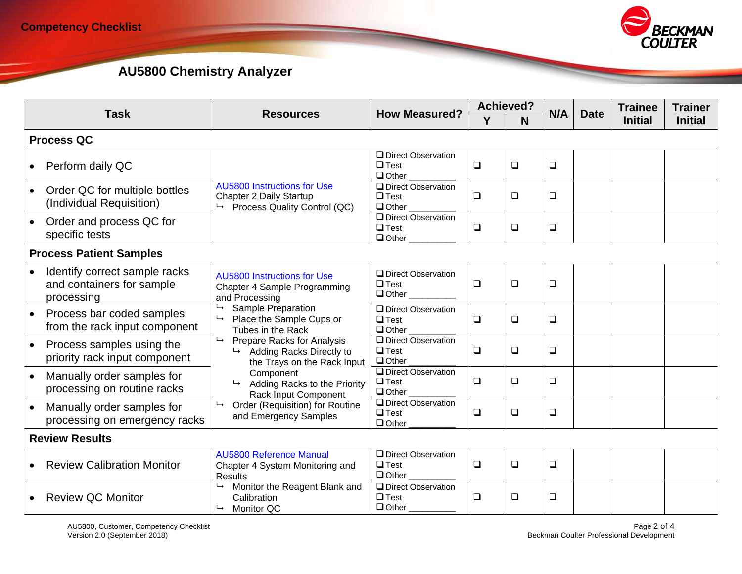

|           | <b>Task</b>                                                              | <b>Resources</b>                                                                                                                                                                                                                                                                                                                                                                                                                                      | <b>How Measured?</b>                                           | <b>Achieved?</b> |        |        |             | <b>Trainee</b> | <b>Trainer</b> |
|-----------|--------------------------------------------------------------------------|-------------------------------------------------------------------------------------------------------------------------------------------------------------------------------------------------------------------------------------------------------------------------------------------------------------------------------------------------------------------------------------------------------------------------------------------------------|----------------------------------------------------------------|------------------|--------|--------|-------------|----------------|----------------|
|           |                                                                          |                                                                                                                                                                                                                                                                                                                                                                                                                                                       |                                                                | Ý                | N      | N/A    | <b>Date</b> | <b>Initial</b> | <b>Initial</b> |
|           | <b>Process QC</b>                                                        |                                                                                                                                                                                                                                                                                                                                                                                                                                                       |                                                                |                  |        |        |             |                |                |
|           | Perform daily QC                                                         | <b>AU5800 Instructions for Use</b><br><b>Chapter 2 Daily Startup</b><br>$\rightarrow$ Process Quality Control (QC)                                                                                                                                                                                                                                                                                                                                    | <b>ODirect Observation</b><br>$\Box$ Test<br>$\Box$ Other      | $\Box$           | $\Box$ | $\Box$ |             |                |                |
| $\bullet$ | Order QC for multiple bottles<br>(Individual Requisition)                |                                                                                                                                                                                                                                                                                                                                                                                                                                                       | <b>ODirect Observation</b><br>$\Box$ Test<br>$\Box$ Other      | $\Box$           | $\Box$ | $\Box$ |             |                |                |
| $\bullet$ | Order and process QC for<br>specific tests                               |                                                                                                                                                                                                                                                                                                                                                                                                                                                       | <b>ODirect Observation</b><br>$\Box$ Test<br>$\Box$ Other      | $\Box$           | $\Box$ | $\Box$ |             |                |                |
|           | <b>Process Patient Samples</b>                                           |                                                                                                                                                                                                                                                                                                                                                                                                                                                       |                                                                |                  |        |        |             |                |                |
|           | Identify correct sample racks<br>and containers for sample<br>processing | <b>AU5800 Instructions for Use</b><br>Chapter 4 Sample Programming<br>and Processing<br>$\mapsto$<br>Sample Preparation<br>$\mapsto$<br>Place the Sample Cups or<br>Tubes in the Rack<br>$\mapsto$<br><b>Prepare Racks for Analysis</b><br>Adding Racks Directly to<br>↳<br>the Trays on the Rack Input<br>Component<br>Adding Racks to the Priority<br>Rack Input Component<br>Order (Requisition) for Routine<br>$\mapsto$<br>and Emergency Samples | <b>ODirect Observation</b><br>$\Box$ Test<br>$\Box$ Other      | $\Box$           | $\Box$ | $\Box$ |             |                |                |
|           | Process bar coded samples<br>from the rack input component               |                                                                                                                                                                                                                                                                                                                                                                                                                                                       | <b>ODirect Observation</b><br>$\Box$ Test<br>$\Box$ Other      | $\Box$           | $\Box$ | $\Box$ |             |                |                |
| $\bullet$ | Process samples using the<br>priority rack input component               |                                                                                                                                                                                                                                                                                                                                                                                                                                                       | <b>ODirect Observation</b><br>$\Box$ Test<br>$\Box$ Other      | $\Box$           | ❏      | $\Box$ |             |                |                |
| $\bullet$ | Manually order samples for<br>processing on routine racks                |                                                                                                                                                                                                                                                                                                                                                                                                                                                       | <b>ODirect Observation</b><br>$\Box$ Test<br>$\Box$ Other      | $\Box$           | ❏      | $\Box$ |             |                |                |
|           | Manually order samples for<br>processing on emergency racks              |                                                                                                                                                                                                                                                                                                                                                                                                                                                       | <b>O</b> Direct Observation<br>$\Box$ Test<br>$\Box$ Other     | $\Box$           | ❏      | $\Box$ |             |                |                |
|           | <b>Review Results</b>                                                    |                                                                                                                                                                                                                                                                                                                                                                                                                                                       |                                                                |                  |        |        |             |                |                |
|           | <b>Review Calibration Monitor</b>                                        | <b>AU5800 Reference Manual</b><br>Chapter 4 System Monitoring and<br><b>Results</b>                                                                                                                                                                                                                                                                                                                                                                   | <b>ODirect Observation</b><br>$\Box$ Test<br>$\Box$ Other      | $\Box$           | $\Box$ | $\Box$ |             |                |                |
|           | <b>Review QC Monitor</b>                                                 | Monitor the Reagent Blank and<br>↳<br>Calibration<br>$\mapsto$<br>Monitor QC                                                                                                                                                                                                                                                                                                                                                                          | <b>ODirect Observation</b><br>$\Box$ Test<br>$\Box$ Other $\_$ | $\Box$           | ❏      | $\Box$ |             |                |                |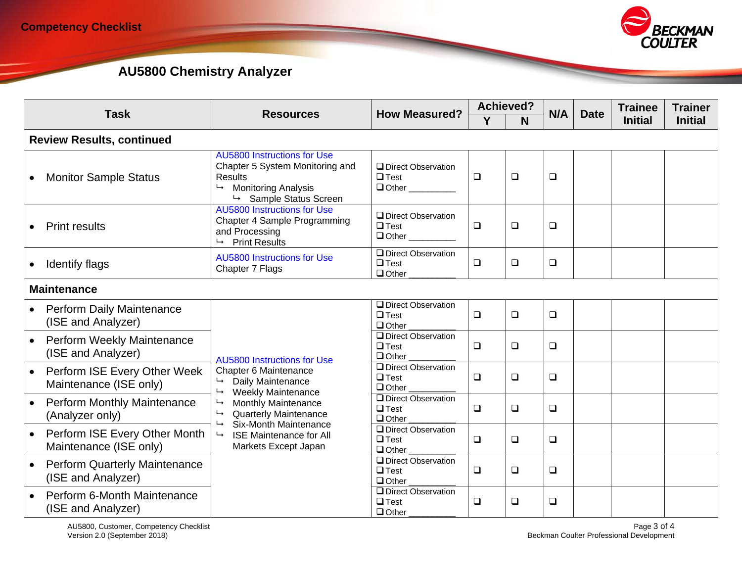

| <b>Task</b> |                                                            |                                                                                                                                                                                                                                                                                                  | <b>How Measured?</b>                                         | <b>Achieved?</b> |        | N/A    |             | <b>Trainee</b> | <b>Trainer</b> |
|-------------|------------------------------------------------------------|--------------------------------------------------------------------------------------------------------------------------------------------------------------------------------------------------------------------------------------------------------------------------------------------------|--------------------------------------------------------------|------------------|--------|--------|-------------|----------------|----------------|
|             |                                                            | <b>Resources</b>                                                                                                                                                                                                                                                                                 |                                                              | Y                | N      |        | <b>Date</b> | <b>Initial</b> | <b>Initial</b> |
|             | <b>Review Results, continued</b>                           |                                                                                                                                                                                                                                                                                                  |                                                              |                  |        |        |             |                |                |
|             | <b>Monitor Sample Status</b>                               | <b>AU5800 Instructions for Use</b><br>Chapter 5 System Monitoring and<br><b>Results</b><br><b>Monitoring Analysis</b><br>↳<br>$\mapsto$<br>Sample Status Screen                                                                                                                                  | <b>ODirect Observation</b><br>$\Box$ Test<br>Other _________ | $\Box$           | $\Box$ | $\Box$ |             |                |                |
|             | <b>Print results</b>                                       | <b>AU5800 Instructions for Use</b><br>Chapter 4 Sample Programming<br>and Processing<br><b>Print Results</b><br>$\mapsto$                                                                                                                                                                        | <b>ODirect Observation</b><br>$\Box$ Test                    | $\Box$           | $\Box$ | $\Box$ |             |                |                |
|             | <b>Identify flags</b>                                      | <b>AU5800 Instructions for Use</b><br>Chapter 7 Flags                                                                                                                                                                                                                                            | <b>O</b> Direct Observation<br>$\Box$ Test<br>$\Box$ Other   | $\Box$           | $\Box$ | $\Box$ |             |                |                |
|             | <b>Maintenance</b>                                         |                                                                                                                                                                                                                                                                                                  |                                                              |                  |        |        |             |                |                |
|             | Perform Daily Maintenance<br>(ISE and Analyzer)            |                                                                                                                                                                                                                                                                                                  | <b>ODirect Observation</b><br>$\Box$ Test<br>$\Box$ Other    | $\Box$           | $\Box$ | $\Box$ |             |                |                |
|             | Perform Weekly Maintenance<br>(ISE and Analyzer)           | <b>AU5800 Instructions for Use</b><br>Chapter 6 Maintenance<br>Daily Maintenance<br>↳<br>$\mapsto$<br><b>Weekly Maintenance</b><br>Monthly Maintenance<br>↳<br><b>Quarterly Maintenance</b><br>Six-Month Maintenance<br>$\mapsto$<br><b>ISE Maintenance for All</b><br>↳<br>Markets Except Japan | <b>ODirect Observation</b><br>$\Box$ Test<br>$\Box$ Other    | $\Box$           | $\Box$ | $\Box$ |             |                |                |
|             | Perform ISE Every Other Week<br>Maintenance (ISE only)     |                                                                                                                                                                                                                                                                                                  | <b>Q</b> Direct Observation<br>$\Box$ Test<br>$\Box$ Other   | $\Box$           | $\Box$ | $\Box$ |             |                |                |
|             | Perform Monthly Maintenance<br>(Analyzer only)             |                                                                                                                                                                                                                                                                                                  | <b>O</b> Direct Observation<br>$\Box$ Test<br>$\Box$ Other   | $\Box$           | $\Box$ | $\Box$ |             |                |                |
|             | Perform ISE Every Other Month<br>Maintenance (ISE only)    |                                                                                                                                                                                                                                                                                                  | <b>ODirect Observation</b><br>$\Box$ Test<br>$\Box$ Other    | $\Box$           | $\Box$ | $\Box$ |             |                |                |
|             | <b>Perform Quarterly Maintenance</b><br>(ISE and Analyzer) |                                                                                                                                                                                                                                                                                                  | <b>ODirect Observation</b><br>$\Box$ Test<br>$\Box$ Other    | $\Box$           | $\Box$ | $\Box$ |             |                |                |
|             | Perform 6-Month Maintenance<br>(ISE and Analyzer)          |                                                                                                                                                                                                                                                                                                  | <b>O</b> Direct Observation<br>$\Box$ Test<br>$\Box$ Other   | $\Box$           | $\Box$ | $\Box$ |             |                |                |